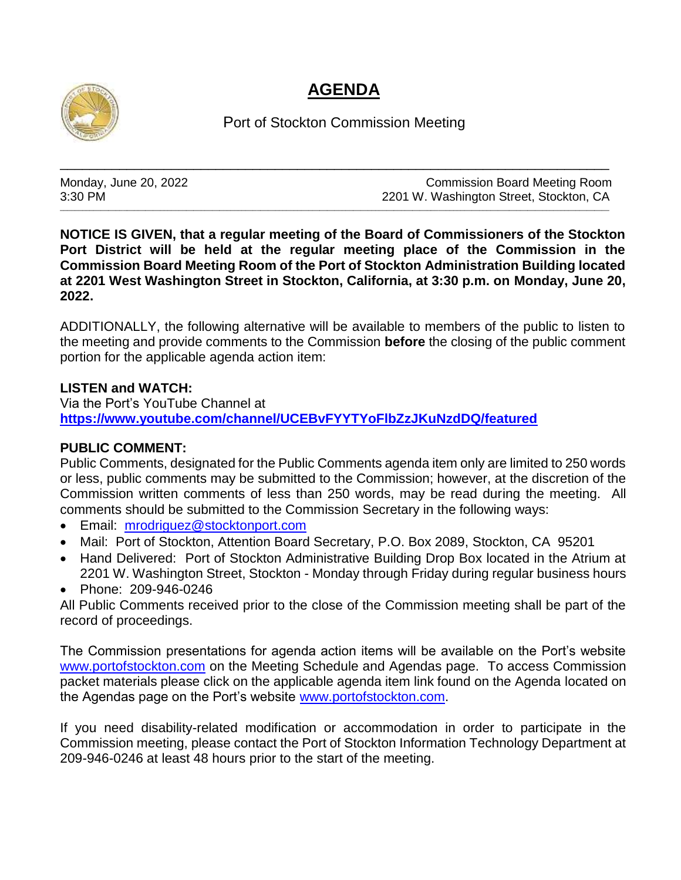## **AGENDA**



Port of Stockton Commission Meeting

\_\_\_\_\_\_\_\_\_\_\_\_\_\_\_\_\_\_\_\_\_\_\_\_\_\_\_\_\_\_\_\_\_\_\_\_\_\_\_\_\_\_\_\_\_\_\_\_\_\_\_\_\_\_\_\_\_\_\_\_\_\_\_\_\_\_\_\_\_\_\_\_\_\_

\_\_\_\_\_\_\_\_\_\_\_\_\_\_\_\_\_\_\_\_\_\_\_\_\_\_\_\_\_\_\_\_\_\_\_\_\_\_\_\_\_\_\_\_\_\_\_\_\_\_\_\_\_\_\_\_\_\_\_\_\_\_\_\_\_\_\_\_\_\_\_\_\_\_\_\_\_\_\_\_\_\_\_\_\_\_\_\_\_\_\_\_\_\_\_\_\_\_\_\_\_\_\_\_\_\_\_\_\_\_\_\_\_\_\_\_\_\_\_\_\_\_\_\_\_\_\_\_\_\_\_\_\_\_\_\_\_\_\_\_\_\_\_\_\_\_\_\_

Monday, June 20, 2022 **Monday, June 20, 2022** Commission Board Meeting Room 3:30 PM 2201 W. Washington Street, Stockton, CA

**NOTICE IS GIVEN, that a regular meeting of the Board of Commissioners of the Stockton Port District will be held at the regular meeting place of the Commission in the Commission Board Meeting Room of the Port of Stockton Administration Building located at 2201 West Washington Street in Stockton, California, at 3:30 p.m. on Monday, June 20, 2022.**

ADDITIONALLY, the following alternative will be available to members of the public to listen to the meeting and provide comments to the Commission **before** the closing of the public comment portion for the applicable agenda action item:

## **LISTEN and WATCH:**

Via the Port's YouTube Channel at **<https://www.youtube.com/channel/UCEBvFYYTYoFlbZzJKuNzdDQ/featured>**

## **PUBLIC COMMENT:**

Public Comments, designated for the Public Comments agenda item only are limited to 250 words or less, public comments may be submitted to the Commission; however, at the discretion of the Commission written comments of less than 250 words, may be read during the meeting. All comments should be submitted to the Commission Secretary in the following ways:

- Email: [mrodriguez@stocktonport.com](mailto:mrodriguez@stocktonport.com)
- Mail: Port of Stockton, Attention Board Secretary, P.O. Box 2089, Stockton, CA 95201
- Hand Delivered: Port of Stockton Administrative Building Drop Box located in the Atrium at 2201 W. Washington Street, Stockton - Monday through Friday during regular business hours
- Phone: 209-946-0246

All Public Comments received prior to the close of the Commission meeting shall be part of the record of proceedings.

The Commission presentations for agenda action items will be available on the Port's website [www.portofstockton.com](http://www.portofstockton.com/) on the Meeting Schedule and Agendas page. To access Commission packet materials please click on the applicable agenda item link found on the Agenda located on the Agendas page on the Port's website [www.portofstockton.com.](http://www.portofstockton.com/)

If you need disability-related modification or accommodation in order to participate in the Commission meeting, please contact the Port of Stockton Information Technology Department at 209-946-0246 at least 48 hours prior to the start of the meeting.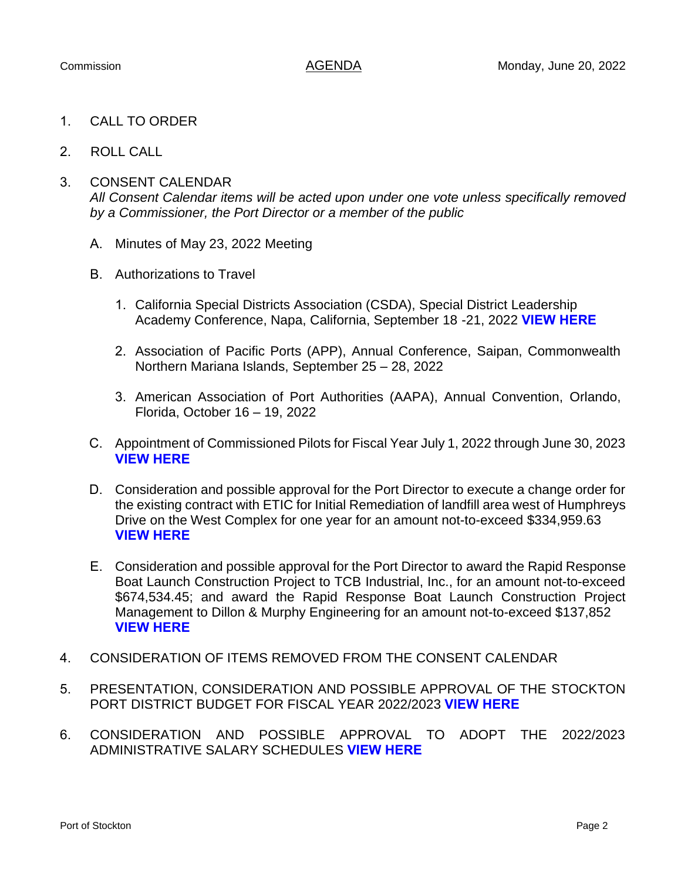- 1. CALL TO ORDER
- 2. ROLL CALL
- 3. CONSENT CALENDAR

*All Consent Calendar items will be acted upon under one vote unless specifically removed by a Commissioner, the Port Director or a member of the public*

- A. Minutes of May 23, 2022 Meeting
- B. Authorizations to Travel
	- 1. California Special Districts Association (CSDA), Special District Leadership Academy Conference, Napa, California, September 18 -21, 2022 **[VIEW HERE](https://www.portofstockton.com/wp-content/uploads/2022/06/ConsentCalendarB.pdf)**
	- 2. Association of Pacific Ports (APP), Annual Conference, Saipan, Commonwealth Northern Mariana Islands, September 25 – 28, 2022
	- 3. American Association of Port Authorities (AAPA), Annual Convention, Orlando, Florida, October 16 – 19, 2022
- C. Appointment of Commissioned Pilots for Fiscal Year July 1, 2022 through June 30, 2023 **[VIEW HERE](https://www.portofstockton.com/wp-content/uploads/2022/06/ConsentCalendarC.pdf)**
- D. Consideration and possible approval for the Port Director to execute a change order for the existing contract with ETIC for Initial Remediation of landfill area west of Humphreys Drive on the West Complex for one year for an amount not-to-exceed \$334,959.63 **[VIEW HERE](https://www.portofstockton.com/wp-content/uploads/2022/06/ConsentCalendarD.pdf)**
- E. Consideration and possible approval for the Port Director to award the Rapid Response Boat Launch Construction Project to TCB Industrial, Inc., for an amount not-to-exceed \$674,534.45; and award the Rapid Response Boat Launch Construction Project Management to Dillon & Murphy Engineering for an amount not-to-exceed \$137,852 **[VIEW HERE](https://www.portofstockton.com/wp-content/uploads/2022/06/ConsentCalendarE.pdf)**
- 4. CONSIDERATION OF ITEMS REMOVED FROM THE CONSENT CALENDAR
- 5. PRESENTATION, CONSIDERATION AND POSSIBLE APPROVAL OF THE STOCKTON PORT DISTRICT BUDGET FOR FISCAL YEAR 2022/2023 **[VIEW HERE](https://www.portofstockton.com/wp-content/uploads/2022/06/AgendaItem5.pdf)**
- 6. CONSIDERATION AND POSSIBLE APPROVAL TO ADOPT THE 2022/2023 ADMINISTRATIVE SALARY SCHEDULES **[VIEW HERE](https://www.portofstockton.com/wp-content/uploads/2022/06/AgendaItem6.pdf)**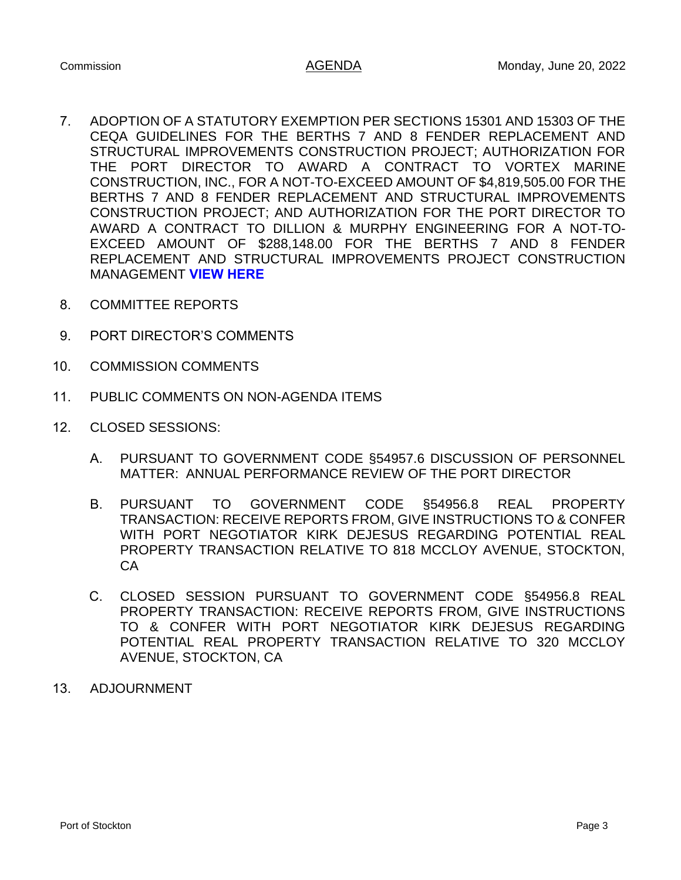- 7. ADOPTION OF A STATUTORY EXEMPTION PER SECTIONS 15301 AND 15303 OF THE CEQA GUIDELINES FOR THE BERTHS 7 AND 8 FENDER REPLACEMENT AND STRUCTURAL IMPROVEMENTS CONSTRUCTION PROJECT; AUTHORIZATION FOR THE PORT DIRECTOR TO AWARD A CONTRACT TO VORTEX MARINE CONSTRUCTION, INC., FOR A NOT-TO-EXCEED AMOUNT OF \$4,819,505.00 FOR THE BERTHS 7 AND 8 FENDER REPLACEMENT AND STRUCTURAL IMPROVEMENTS CONSTRUCTION PROJECT; AND AUTHORIZATION FOR THE PORT DIRECTOR TO AWARD A CONTRACT TO DILLION & MURPHY ENGINEERING FOR A NOT-TO-EXCEED AMOUNT OF \$288,148.00 FOR THE BERTHS 7 AND 8 FENDER REPLACEMENT AND STRUCTURAL IMPROVEMENTS PROJECT CONSTRUCTION MANAGEMENT **[VIEW HERE](https://www.portofstockton.com/wp-content/uploads/2022/06/AgendaItem7.pdf)**
- 8. COMMITTEE REPORTS
- 9. PORT DIRECTOR'S COMMENTS
- 10. COMMISSION COMMENTS
- 11. PUBLIC COMMENTS ON NON-AGENDA ITEMS
- 12. CLOSED SESSIONS:
	- A. PURSUANT TO GOVERNMENT CODE §54957.6 DISCUSSION OF PERSONNEL MATTER: ANNUAL PERFORMANCE REVIEW OF THE PORT DIRECTOR
	- B. PURSUANT TO GOVERNMENT CODE §54956.8 REAL PROPERTY TRANSACTION: RECEIVE REPORTS FROM, GIVE INSTRUCTIONS TO & CONFER WITH PORT NEGOTIATOR KIRK DEJESUS REGARDING POTENTIAL REAL PROPERTY TRANSACTION RELATIVE TO 818 MCCLOY AVENUE, STOCKTON, **CA**
	- C. CLOSED SESSION PURSUANT TO GOVERNMENT CODE §54956.8 REAL PROPERTY TRANSACTION: RECEIVE REPORTS FROM, GIVE INSTRUCTIONS TO & CONFER WITH PORT NEGOTIATOR KIRK DEJESUS REGARDING POTENTIAL REAL PROPERTY TRANSACTION RELATIVE TO 320 MCCLOY AVENUE, STOCKTON, CA
- 13. ADJOURNMENT